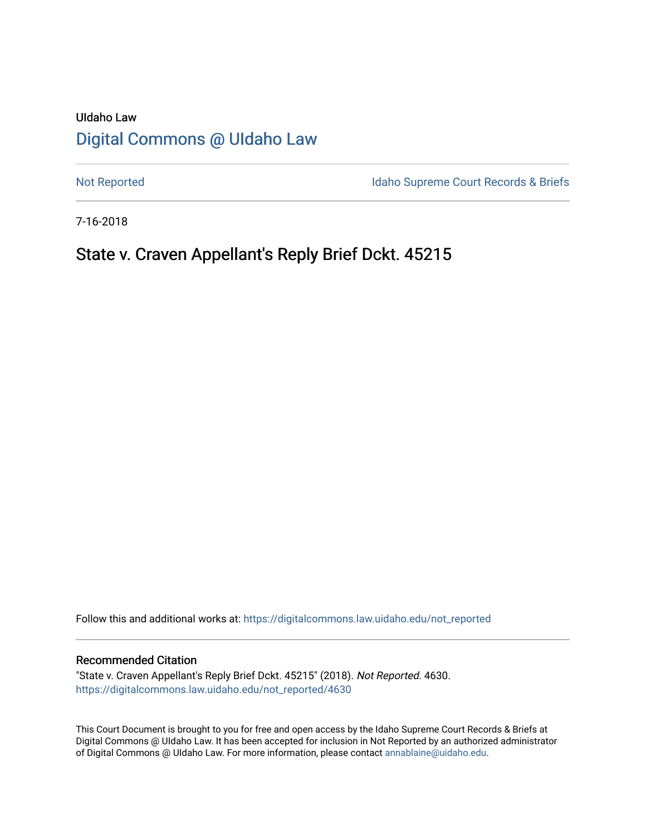# UIdaho Law [Digital Commons @ UIdaho Law](https://digitalcommons.law.uidaho.edu/)

[Not Reported](https://digitalcommons.law.uidaho.edu/not_reported) **Idaho Supreme Court Records & Briefs** 

7-16-2018

# State v. Craven Appellant's Reply Brief Dckt. 45215

Follow this and additional works at: [https://digitalcommons.law.uidaho.edu/not\\_reported](https://digitalcommons.law.uidaho.edu/not_reported?utm_source=digitalcommons.law.uidaho.edu%2Fnot_reported%2F4630&utm_medium=PDF&utm_campaign=PDFCoverPages) 

#### Recommended Citation

"State v. Craven Appellant's Reply Brief Dckt. 45215" (2018). Not Reported. 4630. [https://digitalcommons.law.uidaho.edu/not\\_reported/4630](https://digitalcommons.law.uidaho.edu/not_reported/4630?utm_source=digitalcommons.law.uidaho.edu%2Fnot_reported%2F4630&utm_medium=PDF&utm_campaign=PDFCoverPages)

This Court Document is brought to you for free and open access by the Idaho Supreme Court Records & Briefs at Digital Commons @ UIdaho Law. It has been accepted for inclusion in Not Reported by an authorized administrator of Digital Commons @ UIdaho Law. For more information, please contact [annablaine@uidaho.edu](mailto:annablaine@uidaho.edu).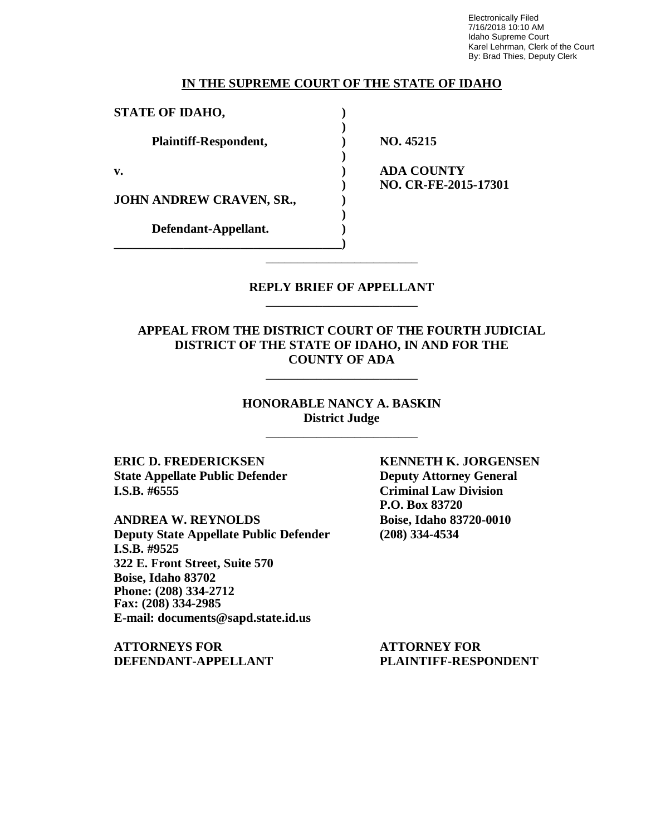Electronically Filed 7/16/2018 10:10 AM Idaho Supreme Court Karel Lehrman, Clerk of the Court By: Brad Thies, Deputy Clerk

#### **IN THE SUPREME COURT OF THE STATE OF IDAHO**

| <b>STATE OF IDAHO,</b>   |                      |
|--------------------------|----------------------|
|                          |                      |
| Plaintiff-Respondent,    | NO. 45215            |
|                          |                      |
| $\mathbf{v}$ .           | <b>ADA COUNTY</b>    |
|                          | NO. CR-FE-2015-17301 |
| JOHN ANDREW CRAVEN, SR., |                      |
|                          |                      |
| Defendant-Appellant.     |                      |
|                          |                      |

#### **REPLY BRIEF OF APPELLANT** \_\_\_\_\_\_\_\_\_\_\_\_\_\_\_\_\_\_\_\_\_\_\_\_

\_\_\_\_\_\_\_\_\_\_\_\_\_\_\_\_\_\_\_\_\_\_\_\_

**APPEAL FROM THE DISTRICT COURT OF THE FOURTH JUDICIAL DISTRICT OF THE STATE OF IDAHO, IN AND FOR THE COUNTY OF ADA**

\_\_\_\_\_\_\_\_\_\_\_\_\_\_\_\_\_\_\_\_\_\_\_\_

#### **HONORABLE NANCY A. BASKIN District Judge**

\_\_\_\_\_\_\_\_\_\_\_\_\_\_\_\_\_\_\_\_\_\_\_\_

**State Appellate Public Defender Deputy Attorney General I.S.B. #6555 Criminal Law Division**

**ANDREA W. REYNOLDS Boise, Idaho 83720-0010 Deputy State Appellate Public Defender (208) 334-4534 I.S.B. #9525 322 E. Front Street, Suite 570 Boise, Idaho 83702 Phone: (208) 334-2712 Fax: (208) 334-2985 E-mail: documents@sapd.state.id.us**

**ATTORNEYS FOR ATTORNEY FOR**

**ERIC D. FREDERICKSEN KENNETH K. JORGENSEN P.O. Box 83720**

**DEFENDANT-APPELLANT PLAINTIFF-RESPONDENT**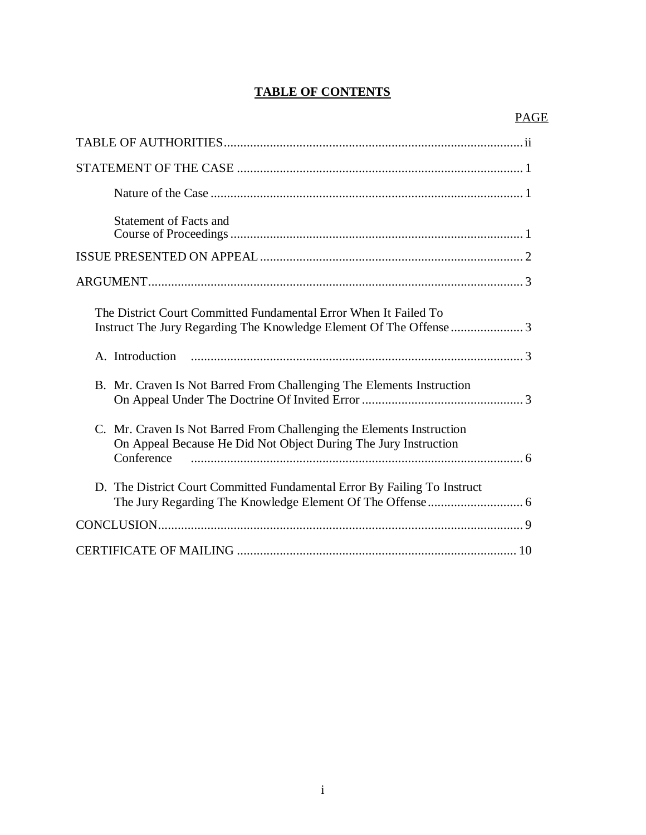### **TABLE OF CONTENTS**

| <b>Statement of Facts and</b>                                                                                                                          |
|--------------------------------------------------------------------------------------------------------------------------------------------------------|
|                                                                                                                                                        |
|                                                                                                                                                        |
| The District Court Committed Fundamental Error When It Failed To                                                                                       |
|                                                                                                                                                        |
| B. Mr. Craven Is Not Barred From Challenging The Elements Instruction                                                                                  |
| C. Mr. Craven Is Not Barred From Challenging the Elements Instruction<br>On Appeal Because He Did Not Object During The Jury Instruction<br>Conference |
| D. The District Court Committed Fundamental Error By Failing To Instruct                                                                               |
|                                                                                                                                                        |
|                                                                                                                                                        |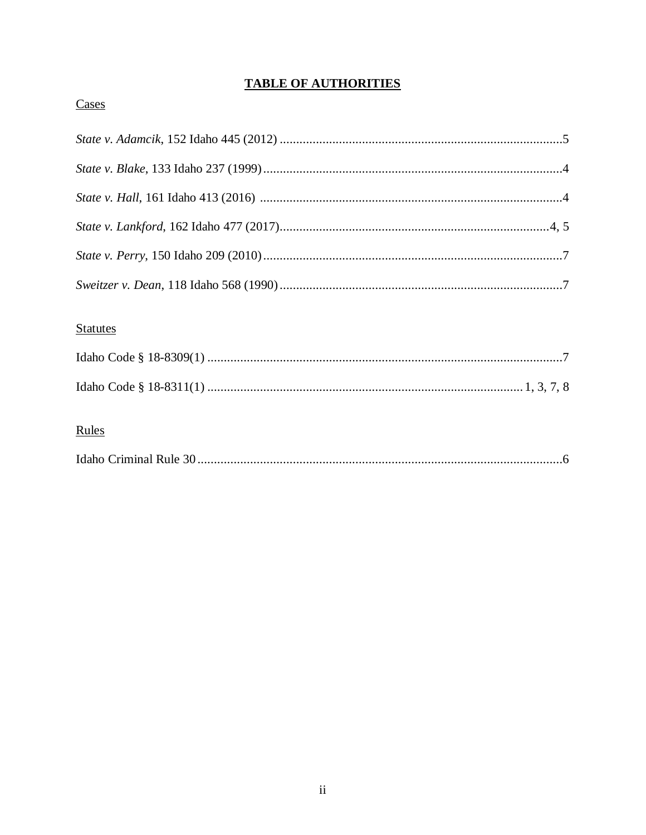## **TABLE OF AUTHORITIES**

## Cases

## **Statutes**

## Rules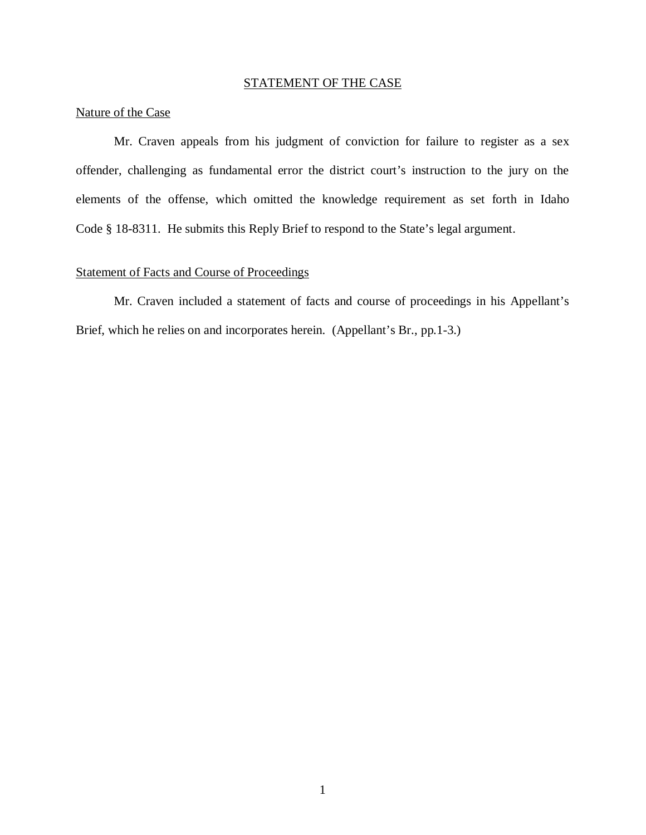### STATEMENT OF THE CASE

### Nature of the Case

Mr. Craven appeals from his judgment of conviction for failure to register as a sex offender, challenging as fundamental error the district court's instruction to the jury on the elements of the offense, which omitted the knowledge requirement as set forth in Idaho Code § 18-8311. He submits this Reply Brief to respond to the State's legal argument.

#### Statement of Facts and Course of Proceedings

Mr. Craven included a statement of facts and course of proceedings in his Appellant's Brief, which he relies on and incorporates herein. (Appellant's Br., pp.1-3.)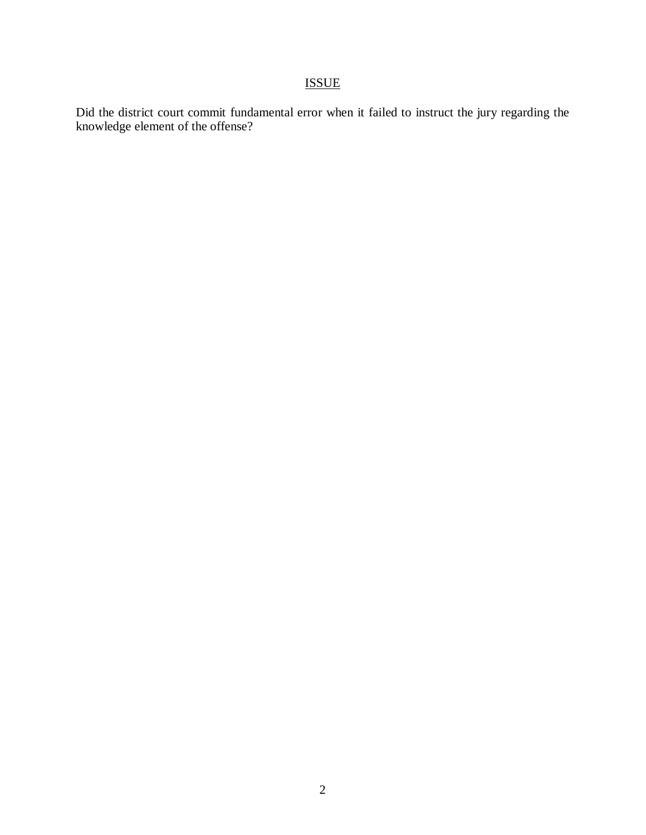## **ISSUE**

Did the district court commit fundamental error when it failed to instruct the jury regarding the knowledge element of the offense?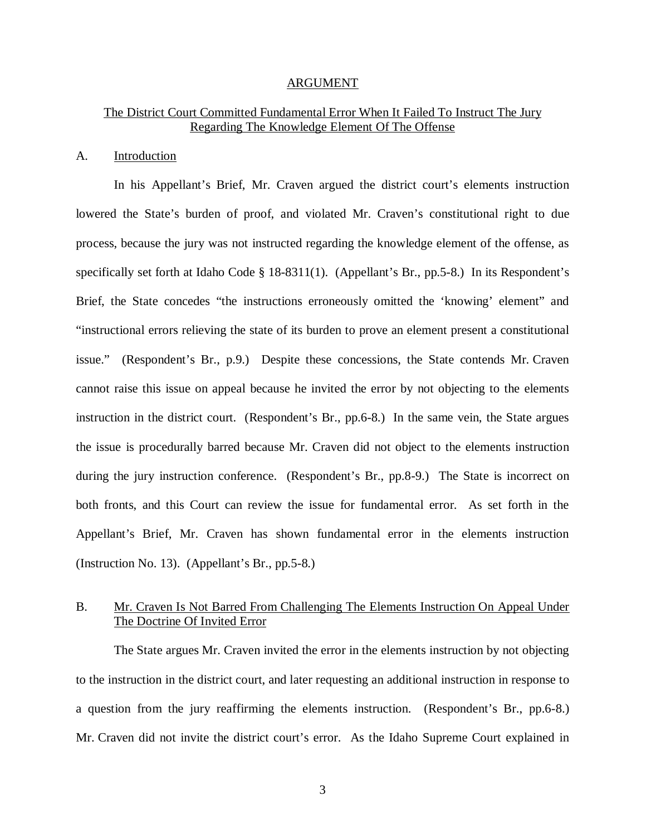#### ARGUMENT

#### The District Court Committed Fundamental Error When It Failed To Instruct The Jury Regarding The Knowledge Element Of The Offense

#### A. Introduction

In his Appellant's Brief, Mr. Craven argued the district court's elements instruction lowered the State's burden of proof, and violated Mr. Craven's constitutional right to due process, because the jury was not instructed regarding the knowledge element of the offense, as specifically set forth at Idaho Code § 18-8311(1). (Appellant's Br., pp.5-8.) In its Respondent's Brief, the State concedes "the instructions erroneously omitted the 'knowing' element" and "instructional errors relieving the state of its burden to prove an element present a constitutional issue." (Respondent's Br., p.9.) Despite these concessions, the State contends Mr. Craven cannot raise this issue on appeal because he invited the error by not objecting to the elements instruction in the district court. (Respondent's Br., pp.6-8.) In the same vein, the State argues the issue is procedurally barred because Mr. Craven did not object to the elements instruction during the jury instruction conference. (Respondent's Br., pp.8-9.) The State is incorrect on both fronts, and this Court can review the issue for fundamental error. As set forth in the Appellant's Brief, Mr. Craven has shown fundamental error in the elements instruction (Instruction No. 13). (Appellant's Br., pp.5-8.)

#### B. Mr. Craven Is Not Barred From Challenging The Elements Instruction On Appeal Under The Doctrine Of Invited Error

The State argues Mr. Craven invited the error in the elements instruction by not objecting to the instruction in the district court, and later requesting an additional instruction in response to a question from the jury reaffirming the elements instruction. (Respondent's Br., pp.6-8.) Mr. Craven did not invite the district court's error. As the Idaho Supreme Court explained in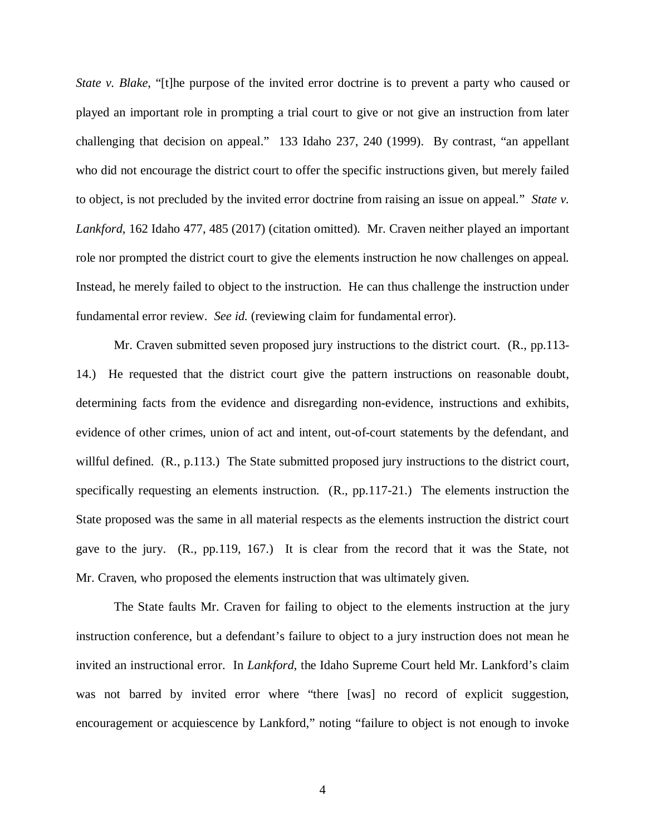*State v. Blake,* "[t]he purpose of the invited error doctrine is to prevent a party who caused or played an important role in prompting a trial court to give or not give an instruction from later challenging that decision on appeal." 133 Idaho 237, 240 (1999). By contrast, "an appellant who did not encourage the district court to offer the specific instructions given, but merely failed to object, is not precluded by the invited error doctrine from raising an issue on appeal." *State v. Lankford*, 162 Idaho 477, 485 (2017) (citation omitted). Mr. Craven neither played an important role nor prompted the district court to give the elements instruction he now challenges on appeal. Instead, he merely failed to object to the instruction. He can thus challenge the instruction under fundamental error review. *See id.* (reviewing claim for fundamental error).

Mr. Craven submitted seven proposed jury instructions to the district court. (R., pp.113- 14.) He requested that the district court give the pattern instructions on reasonable doubt, determining facts from the evidence and disregarding non-evidence, instructions and exhibits, evidence of other crimes, union of act and intent, out-of-court statements by the defendant, and willful defined. (R., p.113.) The State submitted proposed jury instructions to the district court, specifically requesting an elements instruction. (R., pp.117-21.) The elements instruction the State proposed was the same in all material respects as the elements instruction the district court gave to the jury. (R., pp.119, 167.) It is clear from the record that it was the State, not Mr. Craven, who proposed the elements instruction that was ultimately given.

The State faults Mr. Craven for failing to object to the elements instruction at the jury instruction conference, but a defendant's failure to object to a jury instruction does not mean he invited an instructional error. In *Lankford*, the Idaho Supreme Court held Mr. Lankford's claim was not barred by invited error where "there [was] no record of explicit suggestion, encouragement or acquiescence by Lankford," noting "failure to object is not enough to invoke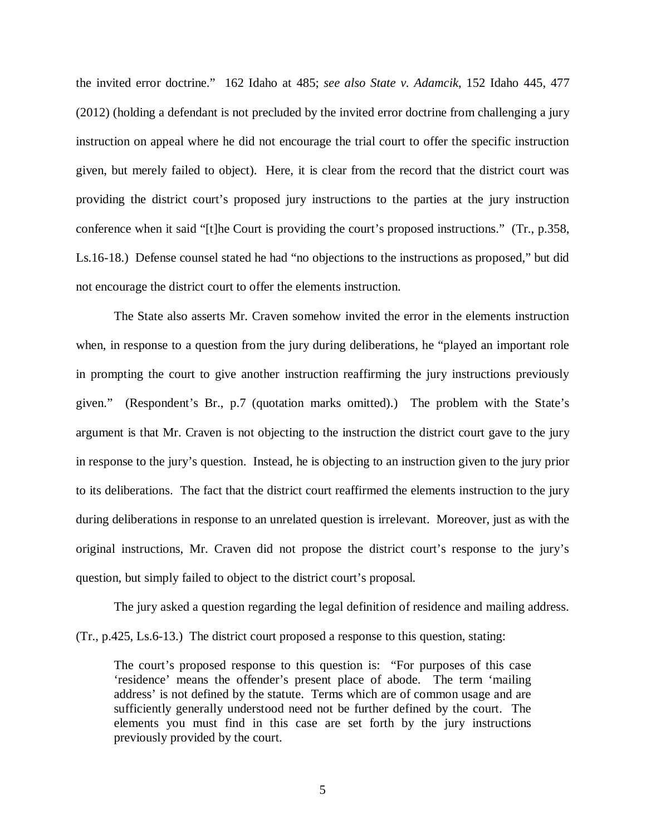the invited error doctrine." 162 Idaho at 485; *see also State v. Adamcik*, 152 Idaho 445, 477 (2012) (holding a defendant is not precluded by the invited error doctrine from challenging a jury instruction on appeal where he did not encourage the trial court to offer the specific instruction given, but merely failed to object). Here, it is clear from the record that the district court was providing the district court's proposed jury instructions to the parties at the jury instruction conference when it said "[t]he Court is providing the court's proposed instructions." (Tr., p.358, Ls.16-18.) Defense counsel stated he had "no objections to the instructions as proposed," but did not encourage the district court to offer the elements instruction.

The State also asserts Mr. Craven somehow invited the error in the elements instruction when, in response to a question from the jury during deliberations, he "played an important role in prompting the court to give another instruction reaffirming the jury instructions previously given." (Respondent's Br., p.7 (quotation marks omitted).) The problem with the State's argument is that Mr. Craven is not objecting to the instruction the district court gave to the jury in response to the jury's question. Instead, he is objecting to an instruction given to the jury prior to its deliberations. The fact that the district court reaffirmed the elements instruction to the jury during deliberations in response to an unrelated question is irrelevant. Moreover, just as with the original instructions, Mr. Craven did not propose the district court's response to the jury's question, but simply failed to object to the district court's proposal.

The jury asked a question regarding the legal definition of residence and mailing address. (Tr., p.425, Ls.6-13.) The district court proposed a response to this question, stating:

The court's proposed response to this question is: "For purposes of this case 'residence' means the offender's present place of abode. The term 'mailing address' is not defined by the statute. Terms which are of common usage and are sufficiently generally understood need not be further defined by the court. The elements you must find in this case are set forth by the jury instructions previously provided by the court.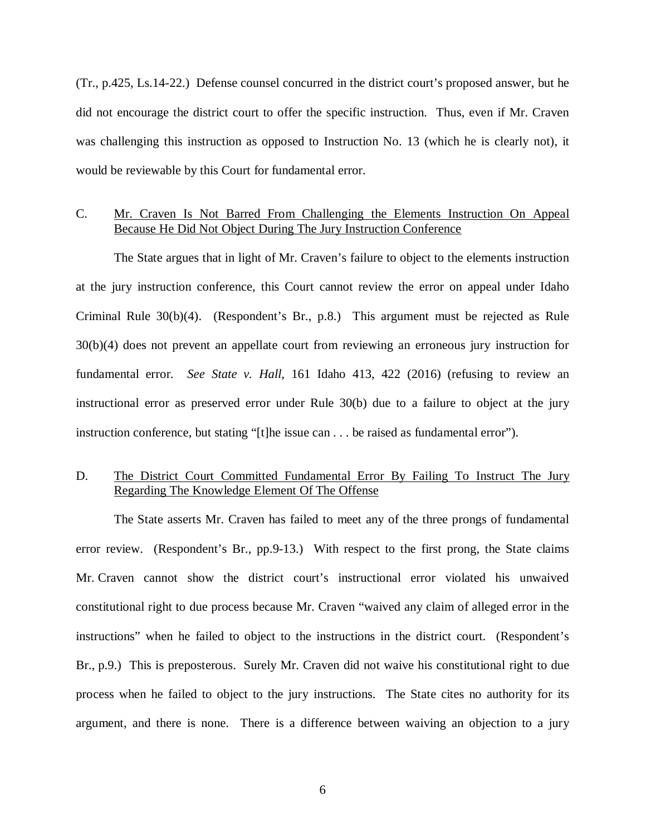(Tr., p.425, Ls.14-22.) Defense counsel concurred in the district court's proposed answer, but he did not encourage the district court to offer the specific instruction. Thus, even if Mr. Craven was challenging this instruction as opposed to Instruction No. 13 (which he is clearly not), it would be reviewable by this Court for fundamental error.

#### C. Mr. Craven Is Not Barred From Challenging the Elements Instruction On Appeal Because He Did Not Object During The Jury Instruction Conference

The State argues that in light of Mr. Craven's failure to object to the elements instruction at the jury instruction conference, this Court cannot review the error on appeal under Idaho Criminal Rule 30(b)(4). (Respondent's Br., p.8.) This argument must be rejected as Rule 30(b)(4) does not prevent an appellate court from reviewing an erroneous jury instruction for fundamental error. *See State v. Hall*, 161 Idaho 413, 422 (2016) (refusing to review an instructional error as preserved error under Rule 30(b) due to a failure to object at the jury instruction conference, but stating "[t]he issue can . . . be raised as fundamental error").

### D. The District Court Committed Fundamental Error By Failing To Instruct The Jury Regarding The Knowledge Element Of The Offense

The State asserts Mr. Craven has failed to meet any of the three prongs of fundamental error review. (Respondent's Br., pp.9-13.) With respect to the first prong, the State claims Mr. Craven cannot show the district court's instructional error violated his unwaived constitutional right to due process because Mr. Craven "waived any claim of alleged error in the instructions" when he failed to object to the instructions in the district court. (Respondent's Br., p.9.) This is preposterous. Surely Mr. Craven did not waive his constitutional right to due process when he failed to object to the jury instructions. The State cites no authority for its argument, and there is none. There is a difference between waiving an objection to a jury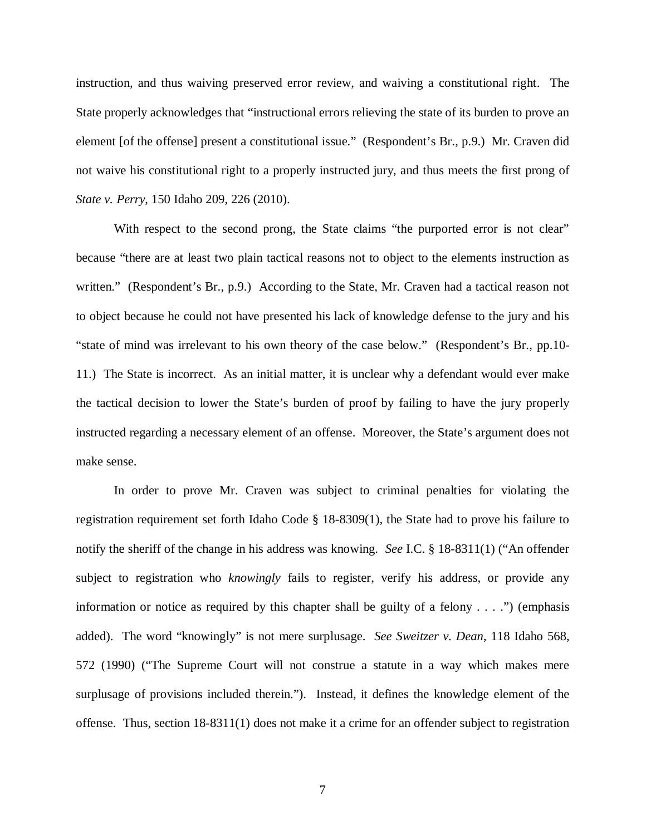instruction, and thus waiving preserved error review, and waiving a constitutional right. The State properly acknowledges that "instructional errors relieving the state of its burden to prove an element [of the offense] present a constitutional issue." (Respondent's Br., p.9.) Mr. Craven did not waive his constitutional right to a properly instructed jury, and thus meets the first prong of *State v. Perry*, 150 Idaho 209, 226 (2010).

With respect to the second prong, the State claims "the purported error is not clear" because "there are at least two plain tactical reasons not to object to the elements instruction as written." (Respondent's Br., p.9.) According to the State, Mr. Craven had a tactical reason not to object because he could not have presented his lack of knowledge defense to the jury and his "state of mind was irrelevant to his own theory of the case below." (Respondent's Br., pp.10- 11.) The State is incorrect. As an initial matter, it is unclear why a defendant would ever make the tactical decision to lower the State's burden of proof by failing to have the jury properly instructed regarding a necessary element of an offense. Moreover, the State's argument does not make sense.

In order to prove Mr. Craven was subject to criminal penalties for violating the registration requirement set forth Idaho Code § 18-8309(1), the State had to prove his failure to notify the sheriff of the change in his address was knowing. *See* I.C. § 18-8311(1) ("An offender subject to registration who *knowingly* fails to register, verify his address, or provide any information or notice as required by this chapter shall be guilty of a felony  $\dots$ .") (emphasis added). The word "knowingly" is not mere surplusage. *See Sweitzer v. Dean*, 118 Idaho 568, 572 (1990) ("The Supreme Court will not construe a statute in a way which makes mere surplusage of provisions included therein."). Instead, it defines the knowledge element of the offense. Thus, section 18-8311(1) does not make it a crime for an offender subject to registration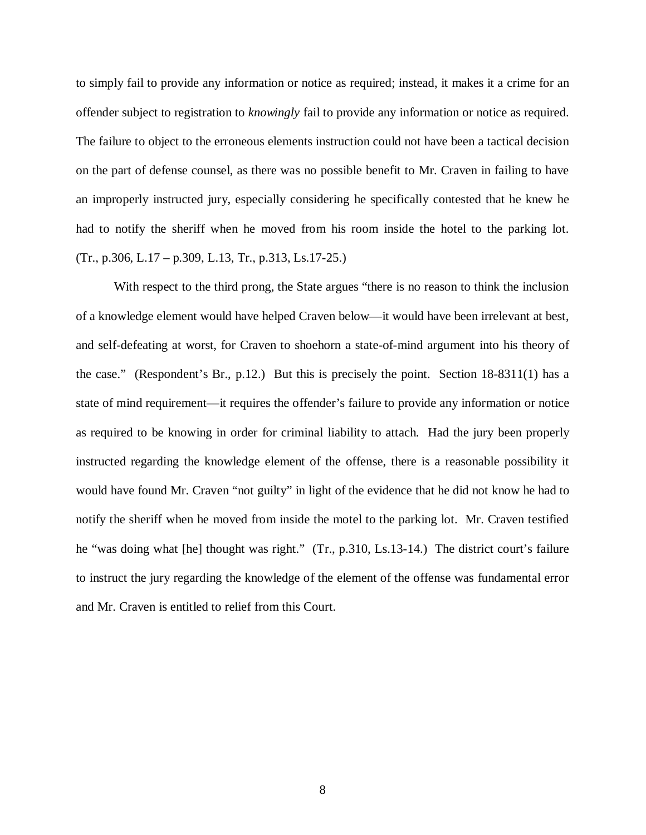to simply fail to provide any information or notice as required; instead, it makes it a crime for an offender subject to registration to *knowingly* fail to provide any information or notice as required. The failure to object to the erroneous elements instruction could not have been a tactical decision on the part of defense counsel, as there was no possible benefit to Mr. Craven in failing to have an improperly instructed jury, especially considering he specifically contested that he knew he had to notify the sheriff when he moved from his room inside the hotel to the parking lot.  $(Tr., p.306, L.17 - p.309, L.13, Tr., p.313, Ls.17-25.)$ 

With respect to the third prong, the State argues "there is no reason to think the inclusion of a knowledge element would have helped Craven below—it would have been irrelevant at best, and self-defeating at worst, for Craven to shoehorn a state-of-mind argument into his theory of the case." (Respondent's Br., p.12.) But this is precisely the point. Section 18-8311(1) has a state of mind requirement—it requires the offender's failure to provide any information or notice as required to be knowing in order for criminal liability to attach. Had the jury been properly instructed regarding the knowledge element of the offense, there is a reasonable possibility it would have found Mr. Craven "not guilty" in light of the evidence that he did not know he had to notify the sheriff when he moved from inside the motel to the parking lot. Mr. Craven testified he "was doing what [he] thought was right." (Tr., p.310, Ls.13-14.) The district court's failure to instruct the jury regarding the knowledge of the element of the offense was fundamental error and Mr. Craven is entitled to relief from this Court.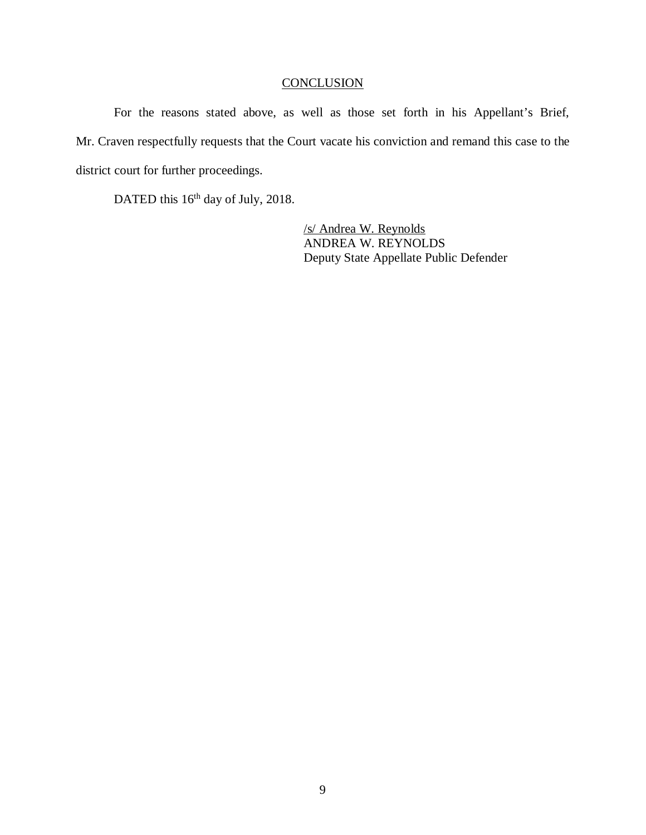### **CONCLUSION**

For the reasons stated above, as well as those set forth in his Appellant's Brief, Mr. Craven respectfully requests that the Court vacate his conviction and remand this case to the district court for further proceedings.

DATED this 16<sup>th</sup> day of July, 2018.

/s/ Andrea W. Reynolds ANDREA W. REYNOLDS Deputy State Appellate Public Defender